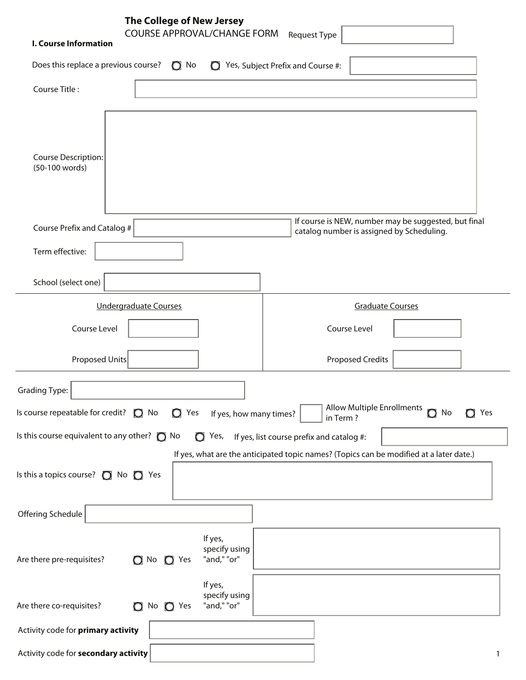| The College of New Jersey<br><b>COURSE APPROVAL/CHANGE FORM</b><br><b>I. Course Information</b>         | <b>Request Type</b>                                                                                                                  |
|---------------------------------------------------------------------------------------------------------|--------------------------------------------------------------------------------------------------------------------------------------|
| Does this replace a previous course? $\bigcirc$ No                                                      | $\bigcirc$ Yes, Subject Prefix and Course #:                                                                                         |
| Course Title:                                                                                           |                                                                                                                                      |
| <b>Course Description:</b><br>(50-100 words)                                                            |                                                                                                                                      |
| Course Prefix and Catalog #                                                                             | If course is NEW, number may be suggested, but final<br>catalog number is assigned by Scheduling.                                    |
| Term effective:                                                                                         |                                                                                                                                      |
| School (select one)                                                                                     |                                                                                                                                      |
| <b>Undergraduate Courses</b>                                                                            | <b>Graduate Courses</b>                                                                                                              |
| Course Level                                                                                            | Course Level                                                                                                                         |
| Proposed Units                                                                                          | <b>Proposed Credits</b>                                                                                                              |
| <b>Grading Type:</b>                                                                                    | Allow Multiple Enrollments<br>$\Omega$                                                                                               |
| Is course repeatable for credit? $\bigcirc$ No<br>$Q$ Yes<br>If yes, how many times?                    | No<br>Yes<br>in Term?                                                                                                                |
| Is this course equivalent to any other? $\bigcirc$ No<br>$\bigcirc$ Yes,                                | If yes, list course prefix and catalog #:<br>If yes, what are the anticipated topic names? (Topics can be modified at a later date.) |
| Is this a topics course? $\bigcirc$ No $\bigcirc$ Yes                                                   |                                                                                                                                      |
| Offering Schedule                                                                                       |                                                                                                                                      |
| If yes,<br>specify using<br>"and," "or"<br>Are there pre-requisites?<br>$\bigcirc$ No<br>$\bigcirc$ Yes |                                                                                                                                      |
| If yes,<br>specify using<br>"and," "or"<br>Are there co-requisites?<br>No $\bigcirc$ Yes<br>$\circ$     |                                                                                                                                      |
| Activity code for primary activity                                                                      |                                                                                                                                      |
| Activity code for secondary activity                                                                    | $\mathbf{1}$                                                                                                                         |